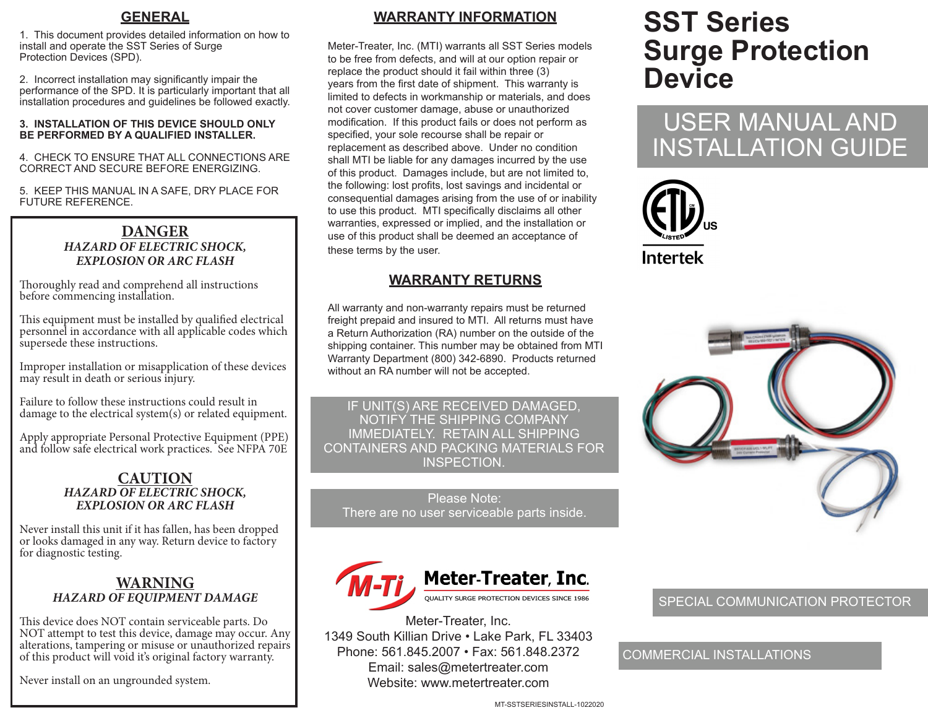### **GENERAL**

1. This document provides detailed information on how to install and operate the SST Series of Surge Protection Devices (SPD).

2. Incorrect installation may significantly impair the performance of the SPD. It is particularly important that all installation procedures and guidelines be followed exactly.

#### **3. INSTALLATION OF THIS DEVICE SHOULD ONLY BE PERFORMED BY A QUALIFIED INSTALLER.**

4. CHECK TO ENSURE THAT ALL CONNECTIONS ARE CORRECT AND SECURE BEFORE ENERGIZING.

5. KEEP THIS MANUAL IN A SAFE, DRY PLACE FOR FUTURE REFERENCE.

### **DANGER** *HAZARD OF ELECTRIC SHOCK, EXPLOSION OR ARC FLASH*

Thoroughly read and comprehend all instructions before commencing installation.

This equipment must be installed by qualified electrical personnel in accordance with all applicable codes which supersede these instructions.

Improper installation or misapplication of these devices may result in death or serious injury.

Failure to follow these instructions could result in damage to the electrical system(s) or related equipment.

Apply appropriate Personal Protective Equipment (PPE) and follow safe electrical work practices. See NFPA 70E

#### **CAUTION** *HAZARD OF ELECTRIC SHOCK, EXPLOSION OR ARC FLASH*

Never install this unit if it has fallen, has been dropped or looks damaged in any way. Return device to factory for diagnostic testing.

### **WARNING** *HAZARD OF EQUIPMENT DAMAGE*

This device does NOT contain serviceable parts. Do NOT attempt to test this device, damage may occur. Any alterations, tampering or misuse or unauthorized repairs of this product will void it's original factory warranty.

Never install on an ungrounded system.

## **WARRANTY INFORMATION**

Meter-Treater, Inc. (MTI) warrants all SST Series models to be free from defects, and will at our option repair or replace the product should it fail within three (3) years from the first date of shipment. This warranty is limited to defects in workmanship or materials, and does not cover customer damage, abuse or unauthorized modification. If this product fails or does not perform as specified, your sole recourse shall be repair or replacement as described above. Under no condition shall MTI be liable for any damages incurred by the use of this product. Damages include, but are not limited to, the following: lost profits, lost savings and incidental or consequential damages arising from the use of or inability to use this product. MTI specifically disclaims all other warranties, expressed or implied, and the installation or use of this product shall be deemed an acceptance of these terms by the user.

### **WARRANTY RETURNS**

All warranty and non-warranty repairs must be returned freight prepaid and insured to MTI. All returns must have a Return Authorization (RA) number on the outside of the shipping container. This number may be obtained from MTI Warranty Department (800) 342-6890. Products returned without an RA number will not be accepted.

IF UNIT(S) ARE RECEIVED DAMAGED, NOTIFY THE SHIPPING COMPANY IMMEDIATELY. RETAIN ALL SHIPPING CONTAINERS AND PACKING MATERIALS FOR INSPECTION.

Please Note: There are no user serviceable parts inside.



Meter-Treater, Inc. 1349 South Killian Drive • Lake Park, FL 33403 Phone: 561.845.2007 • Fax: 561.848.2372 Email: sales@metertreater.com Website: www.metertreater.com

# **SST Series Surge Protection Device**

# USER MANUAL AND INSTALLATION GUIDE





### SPECIAL COMMUNICATION PROTECTOR

### COMMERCIAL INSTALLATIONS